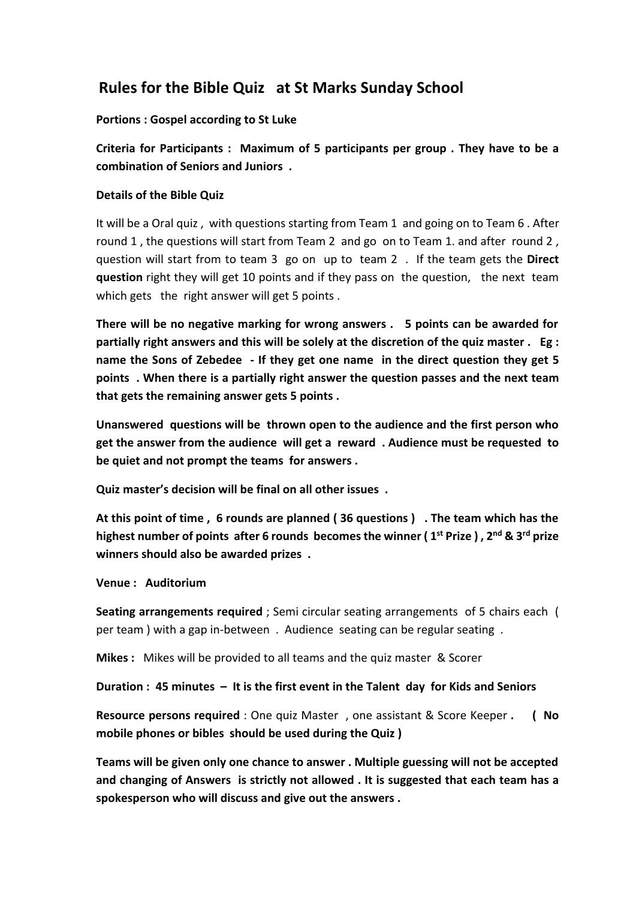### **Rules for the Bible Quiz at St Marks Sunday School**

#### **Portions : Gospel according to St Luke**

**Criteria for Participants : Maximum of 5 participants per group . They have to be a combination of Seniors and Juniors .** 

### **Details of the Bible Quiz**

It will be a Oral quiz , with questions starting from Team 1 and going on to Team 6 . After round 1 , the questions will start from Team 2 and go on to Team 1. and after round 2 , question will start from to team 3 go on up to team 2 . If the team gets the **Direct question** right they will get 10 points and if they pass on the question, the next team which gets the right answer will get 5 points.

**There will be no negative marking for wrong answers . 5 points can be awarded for partially right answers and this will be solely at the discretion of the quiz master . Eg : name the Sons of Zebedee - If they get one name in the direct question they get 5 points . When there is a partially right answer the question passes and the next team that gets the remaining answer gets 5 points .** 

**Unanswered questions will be thrown open to the audience and the first person who get the answer from the audience will get a reward . Audience must be requested to be quiet and not prompt the teams for answers .**

**Quiz master's decision will be final on all other issues .** 

**At this point of time , 6 rounds are planned ( 36 questions ) . The team which has the highest number of points after 6 rounds becomes the winner ( 1st Prize ) , 2nd & 3rd prize winners should also be awarded prizes .** 

**Venue : Auditorium** 

**Seating arrangements required** ; Semi circular seating arrangements of 5 chairs each ( per team ) with a gap in-between . Audience seating can be regular seating .

**Mikes :** Mikes will be provided to all teams and the quiz master & Scorer

**Duration : 45 minutes – It is the first event in the Talent day for Kids and Seniors** 

**Resource persons required** : One quiz Master , one assistant & Score Keeper **. ( No mobile phones or bibles should be used during the Quiz )** 

**Teams will be given only one chance to answer . Multiple guessing will not be accepted and changing of Answers is strictly not allowed . It is suggested that each team has a spokesperson who will discuss and give out the answers .**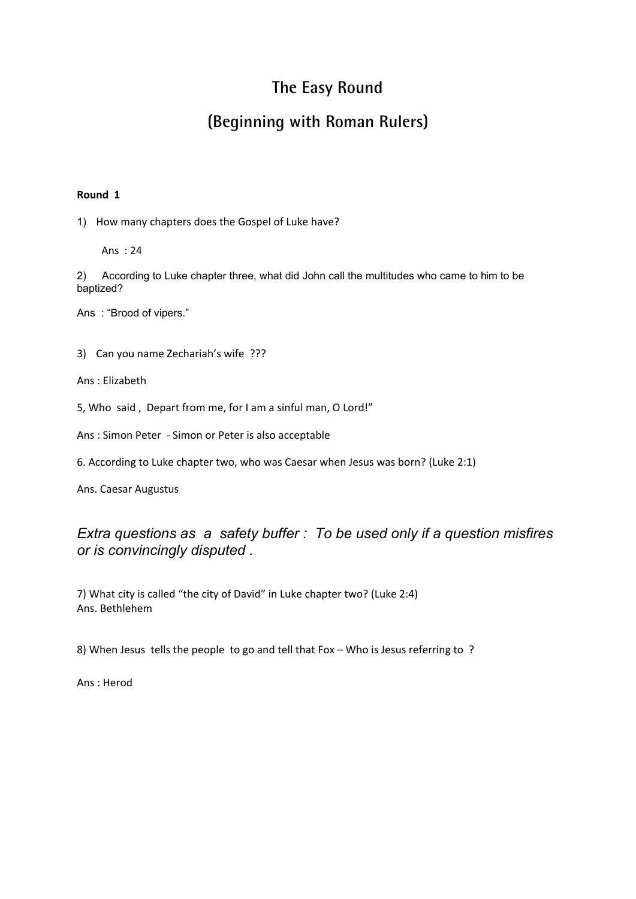## **The Easy Round**

## **(Beginning with Roman Rulers)**

#### **Round 1**

1) How many chapters does the Gospel of Luke have?

Ans : 24

2) According to Luke chapter three, what did John call the multitudes who came to him to be baptized?

Ans : "Brood of vipers."

3) Can you name Zechariah's wife ???

Ans : Elizabeth

5, Who said , Depart from me, for I am a sinful man, O Lord!"

Ans : Simon Peter - Simon or Peter is also acceptable

6. According to Luke chapter two, who was Caesar when Jesus was born? (Luke 2:1)

Ans. Caesar Augustus

### *Extra questions as a safety buffer : To be used only if a question misfires or is convincingly disputed .*

7) What city is called "the city of David" in Luke chapter two? (Luke 2:4) Ans. Bethlehem

8) When Jesus tells the people to go and tell that Fox – Who is Jesus referring to ?

Ans : Herod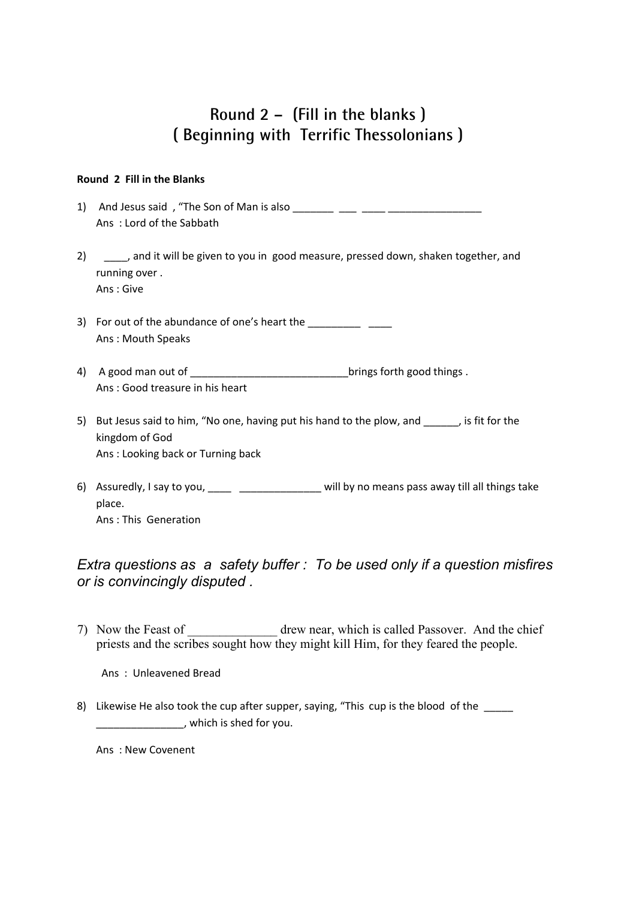## **Round 2 – (Fill in the blanks ) ( Beginning with Terrific Thessolonians )**

#### **Round 2 Fill in the Blanks**

- 1) And Jesus said , "The Son of Man is also \_\_\_\_\_\_\_ \_\_\_ \_\_\_\_ \_\_\_\_\_\_\_\_\_\_\_\_\_\_\_\_ Ans : Lord of the Sabbath
- 2) \_\_\_\_\_, and it will be given to you in good measure, pressed down, shaken together, and running over . Ans : Give
- 3) For out of the abundance of one's heart the \_\_\_\_\_\_\_\_\_\_\_\_\_\_\_\_\_\_\_\_\_\_\_\_\_\_\_\_\_\_\_\_\_ Ans : Mouth Speaks
- 4) A good man out of \_\_\_\_\_\_\_\_\_\_\_\_\_\_\_\_\_\_\_\_\_\_\_\_\_\_\_\_\_\_\_\_brings forth good things . Ans : Good treasure in his heart
- 5) But Jesus said to him, "No one, having put his hand to the plow, and \_\_\_\_\_\_, is fit for the kingdom of God Ans : Looking back or Turning back
- 6) Assuredly, I say to you, https://will by no means pass away till all things take place. Ans : This Generation

### *Extra questions as a safety buffer : To be used only if a question misfires or is convincingly disputed .*

7) Now the Feast of \_\_\_\_\_\_\_\_\_\_\_\_\_\_ drew near, which is called Passover. And the chief priests and the scribes sought how they might kill Him, for they feared the people.

Ans : Unleavened Bread

8) Likewise He also took the cup after supper, saying, "This cup is the blood of the \_\_\_\_\_\_\_\_\_\_\_\_\_\_\_, which is shed for you.

Ans : New Covenent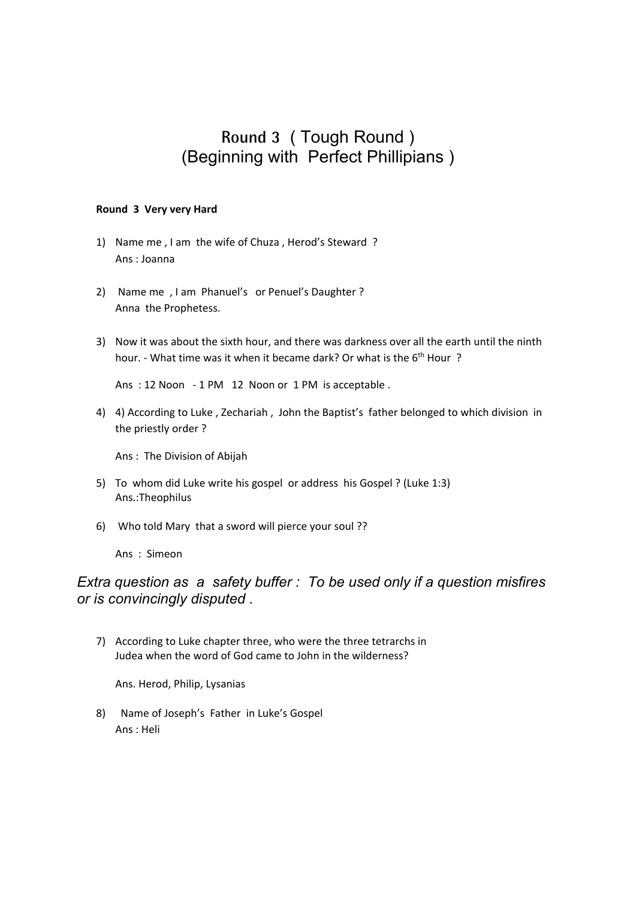## **Round 3** ( Tough Round ) (Beginning with Perfect Phillipians )

#### **Round 3 Very very Hard**

- 1) Name me , I am the wife of Chuza , Herod's Steward ? Ans : Joanna
- 2) Name me , I am Phanuel's or Penuel's Daughter ? Anna the Prophetess.
- 3) Now it was about the sixth hour, and there was darkness over all the earth until the ninth hour. - What time was it when it became dark? Or what is the 6<sup>th</sup> Hour?

Ans : 12 Noon - 1 PM 12 Noon or 1 PM is acceptable .

4) 4) According to Luke , Zechariah , John the Baptist's father belonged to which division in the priestly order ?

Ans : The Division of Abijah

- 5) To whom did Luke write his gospel or address his Gospel ? (Luke 1:3) Ans.:Theophilus
- 6) Who told Mary that a sword will pierce your soul ??

Ans : Simeon

### *Extra question as a safety buffer : To be used only if a question misfires or is convincingly disputed .*

7) According to Luke chapter three, who were the three tetrarchs in Judea when the word of God came to John in the wilderness?

Ans. Herod, Philip, Lysanias

8) Name of Joseph's Father in Luke's Gospel Ans : Heli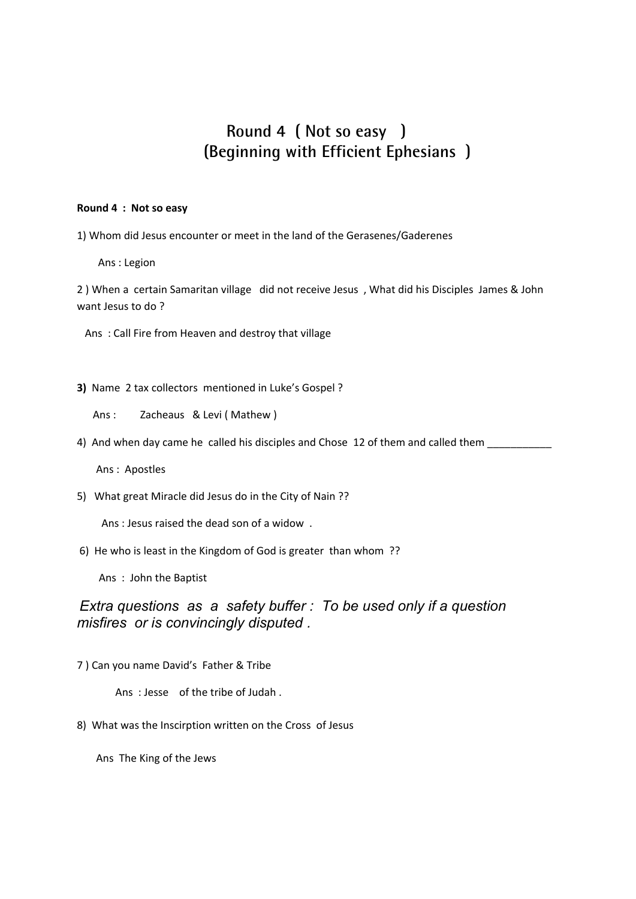### **Round 4 ( Not so easy ) (Beginning with Efficient Ephesians )**

#### **Round 4 : Not so easy**

1) Whom did Jesus encounter or meet in the land of the Gerasenes/Gaderenes

Ans : Legion

2 ) When a certain Samaritan village did not receive Jesus , What did his Disciples James & John want Jesus to do ?

Ans : Call Fire from Heaven and destroy that village

- **3)** Name 2 tax collectors mentioned in Luke's Gospel ?
	- Ans : Zacheaus & Levi ( Mathew )
- 4) And when day came he called his disciples and Chose 12 of them and called them

Ans : Apostles

5) What great Miracle did Jesus do in the City of Nain ??

Ans : Jesus raised the dead son of a widow .

6) He who is least in the Kingdom of God is greater than whom ??

Ans : John the Baptist

### *Extra questions as a safety buffer : To be used only if a question misfires or is convincingly disputed .*

7 ) Can you name David's Father & Tribe

Ans : Jesse of the tribe of Judah .

8) What was the Inscirption written on the Cross of Jesus

Ans The King of the Jews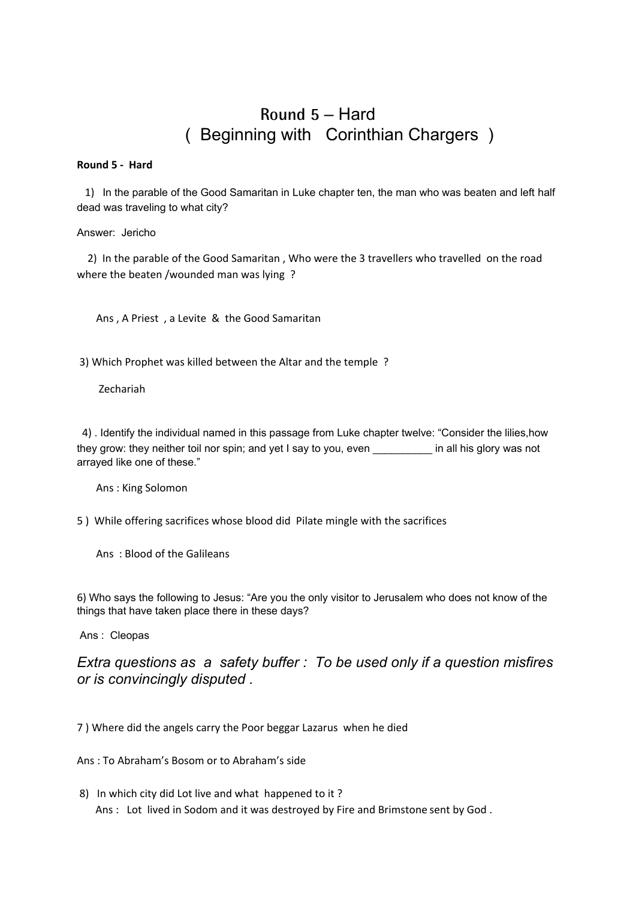## **Round 5** – Hard ( Beginning with Corinthian Chargers )

#### **Round 5 - Hard**

 1) In the parable of the Good Samaritan in Luke chapter ten, the man who was beaten and left half dead was traveling to what city?

#### Answer: Jericho

 2) In the parable of the Good Samaritan , Who were the 3 travellers who travelled on the road where the beaten /wounded man was lying ?

Ans , A Priest , a Levite & the Good Samaritan

3) Which Prophet was killed between the Altar and the temple ?

Zechariah

 4) . Identify the individual named in this passage from Luke chapter twelve: "Consider the lilies,how they grow: they neither toil nor spin; and yet I say to you, even \_\_\_\_\_\_\_\_\_\_ in all his glory was not arrayed like one of these."

Ans : King Solomon

5 ) While offering sacrifices whose blood did Pilate mingle with the sacrifices

Ans : Blood of the Galileans

6) Who says the following to Jesus: "Are you the only visitor to Jerusalem who does not know of the things that have taken place there in these days?

Ans : Cleopas

*Extra questions as a safety buffer : To be used only if a question misfires or is convincingly disputed .*

7 ) Where did the angels carry the Poor beggar Lazarus when he died

Ans : To Abraham's Bosom or to Abraham's side

8) In which city did Lot live and what happened to it ? Ans : Lot lived in Sodom and it was destroyed by Fire and Brimstone sent by God.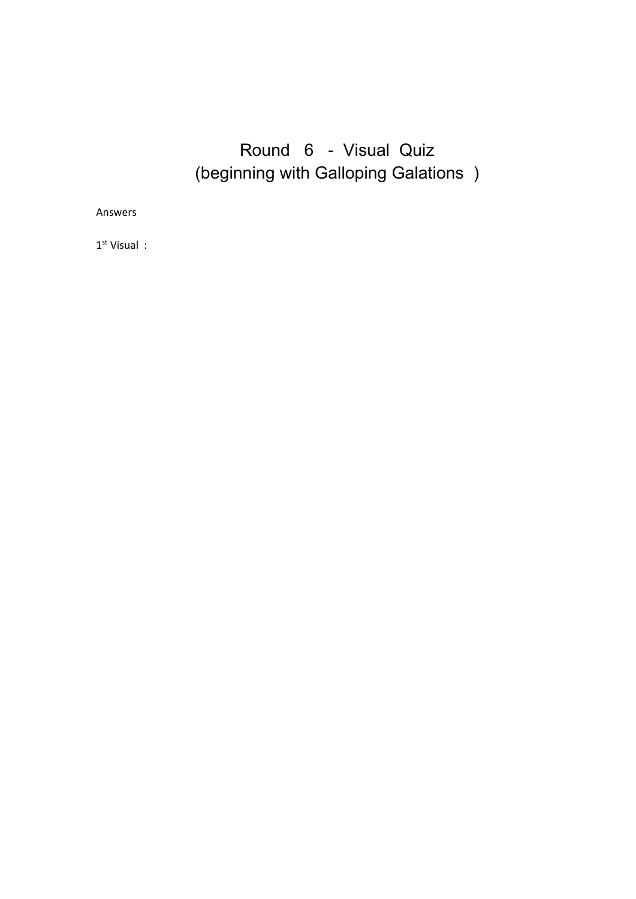# Round 6 - Visual Quiz (beginning with Galloping Galations )

Answers

1 st Visual :